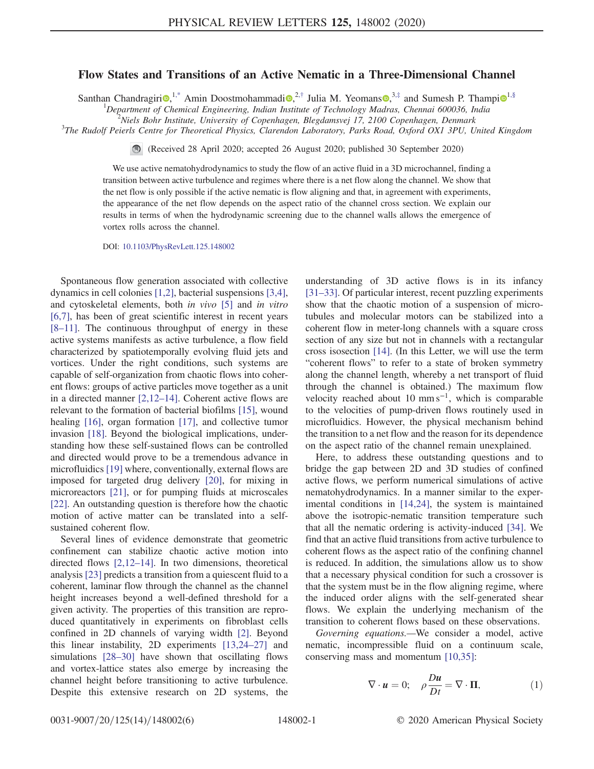## Flow States and Transitions of an Active Nematic in a Three-Dimensional Channel

Santhan Chandragiri<sup>®</sup>,<sup>1,\*</sup> Amin Doostmohammadi<sup>®</sup>,<sup>2,†</sup> Julia M. Yeomans<sup>®</sup>,<sup>3,‡</sup> and Sumesh P. Thampi<sup>®1,§</sup>

<sup>1</sup>Department of Chemical Engineering, Indian Institute of Technology Madras, Chennai 600036, India

<sup>2</sup>Niels Bohr Institute, University of Copenhagen, Blegdamsvej 17, 2100 Copenhagen, Denmark

<sup>3</sup>The Rudolf Peierls Centre for Theoretical Physics, Clarendon Laboratory, Parks Road, Oxford OX1 3PU, United Kingdom

(Received 28 April 2020; accepted 26 August 2020; published 30 September 2020)

We use active nematohydrodynamics to study the flow of an active fluid in a 3D microchannel, finding a transition between active turbulence and regimes where there is a net flow along the channel. We show that the net flow is only possible if the active nematic is flow aligning and that, in agreement with experiments, the appearance of the net flow depends on the aspect ratio of the channel cross section. We explain our results in terms of when the hydrodynamic screening due to the channel walls allows the emergence of vortex rolls across the channel.

DOI: 10.1103/PhysRevLett.125.148002

Spontaneous flow generation associated with collective dynamics in cell colonies [1,2], bacterial suspensions [3,4], and cytoskeletal elements, both in vivo [5] and in vitro [6,7], has been of great scientific interest in recent years [8–11]. The continuous throughput of energy in these active systems manifests as active turbulence, a flow field characterized by spatiotemporally evolving fluid jets and vortices. Under the right conditions, such systems are capable of self-organization from chaotic flows into coherent flows: groups of active particles move together as a unit in a directed manner [2,12–14]. Coherent active flows are relevant to the formation of bacterial biofilms [15], wound healing [16], organ formation [17], and collective tumor invasion [18]. Beyond the biological implications, understanding how these self-sustained flows can be controlled and directed would prove to be a tremendous advance in microfluidics [19] where, conventionally, external flows are imposed for targeted drug delivery [20], for mixing in microreactors [21], or for pumping fluids at microscales [22]. An outstanding question is therefore how the chaotic motion of active matter can be translated into a selfsustained coherent flow.

Several lines of evidence demonstrate that geometric confinement can stabilize chaotic active motion into directed flows [2,12–14]. In two dimensions, theoretical analysis [23] predicts a transition from a quiescent fluid to a coherent, laminar flow through the channel as the channel height increases beyond a well-defined threshold for a given activity. The properties of this transition are reproduced quantitatively in experiments on fibroblast cells confined in 2D channels of varying width [2]. Beyond this linear instability, 2D experiments [13,24–27] and simulations [28–30] have shown that oscillating flows and vortex-lattice states also emerge by increasing the channel height before transitioning to active turbulence. Despite this extensive research on 2D systems, the understanding of 3D active flows is in its infancy [31–33]. Of particular interest, recent puzzling experiments show that the chaotic motion of a suspension of microtubules and molecular motors can be stabilized into a coherent flow in meter-long channels with a square cross section of any size but not in channels with a rectangular cross isosection [14]. (In this Letter, we will use the term "coherent flows" to refer to a state of broken symmetry along the channel length, whereby a net transport of fluid through the channel is obtained.) The maximum flow velocity reached about 10 mm  $s^{-1}$ , which is comparable to the velocities of pump-driven flows routinely used in microfluidics. However, the physical mechanism behind the transition to a net flow and the reason for its dependence on the aspect ratio of the channel remain unexplained.

Here, to address these outstanding questions and to bridge the gap between 2D and 3D studies of confined active flows, we perform numerical simulations of active nematohydrodynamics. In a manner similar to the experimental conditions in [14,24], the system is maintained above the isotropic-nematic transition temperature such that all the nematic ordering is activity-induced [34]. We find that an active fluid transitions from active turbulence to coherent flows as the aspect ratio of the confining channel is reduced. In addition, the simulations allow us to show that a necessary physical condition for such a crossover is that the system must be in the flow aligning regime, where the induced order aligns with the self-generated shear flows. We explain the underlying mechanism of the transition to coherent flows based on these observations.

Governing equations.—We consider a model, active nematic, incompressible fluid on a continuum scale, conserving mass and momentum [10,35]:

$$
\nabla \cdot \mathbf{u} = 0; \quad \rho \frac{Du}{Dt} = \nabla \cdot \mathbf{\Pi}, \tag{1}
$$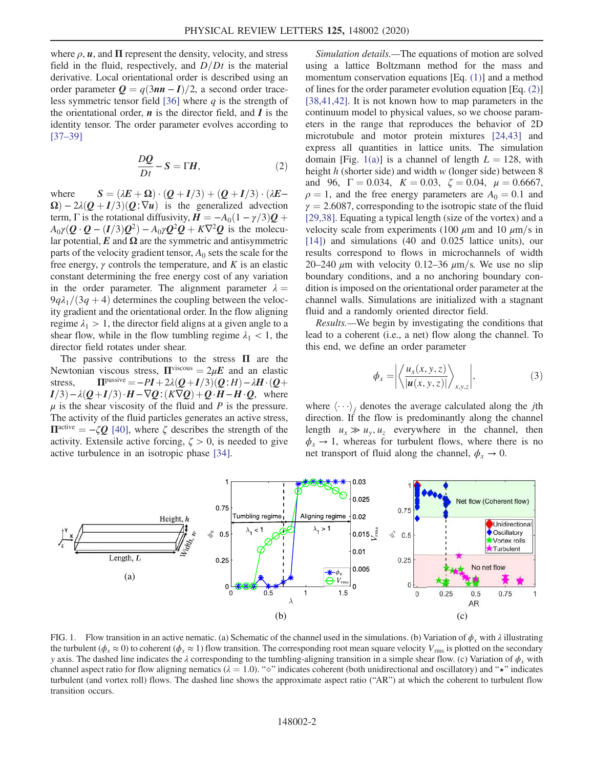where  $\rho$ ,  $\boldsymbol{u}$ , and  $\Pi$  represent the density, velocity, and stress field in the fluid, respectively, and  $D/Dt$  is the material derivative. Local orientational order is described using an order parameter  $Q = q(3n\pi - I)/2$ , a second order traceless symmetric tensor field [36] where  $q$  is the strength of the orientational order,  $\boldsymbol{n}$  is the director field, and  $\boldsymbol{I}$  is the identity tensor. The order parameter evolves according to [37–39]

$$
\frac{DQ}{Dt} - S = \Gamma H,\tag{2}
$$

where  $S = (\lambda E + \Omega) \cdot (Q + I/3) + (Q + I/3) \cdot (\lambda E \Omega$ ) – 2 $\lambda(Q+I/3)(Q;\nabla u)$  is the generalized advection term,  $\Gamma$  is the rotational diffusivity,  $\vec{H} = -A_0(1 - \gamma/3)\vec{Q} + \vec{E}$  $A_0 \gamma (Q \cdot Q - (I/3)Q^2) - A_0 \gamma Q^2 Q + K \nabla^2 Q$  is the molecular potential,  $E$  and  $\Omega$  are the symmetric and antisymmetric parts of the velocity gradient tensor,  $A_0$  sets the scale for the free energy,  $\gamma$  controls the temperature, and K is an elastic constant determining the free energy cost of any variation in the order parameter. The alignment parameter  $\lambda =$  $9q\lambda_1/(3q + 4)$  determines the coupling between the velocity gradient and the orientational order. In the flow aligning regime  $\lambda_1 > 1$ , the director field aligns at a given angle to a shear flow, while in the flow tumbling regime  $\lambda_1$  < 1, the director field rotates under shear.

The passive contributions to the stress  $\Pi$  are the Newtonian viscous stress,  $\Pi^{\text{viscous}} = 2\mu E$  and an elastic stress,  $\Pi^{\text{passive}} = -PI + 2\lambda(Q+I/3)(Q:H) - \lambda H \cdot (Q+h)$  $I/3$ ) –  $\lambda(Q+I/3) \cdot H - \nabla Q$ :  $(K\nabla Q) + Q \cdot H - H \cdot Q$ , where  $\mu$  is the shear viscosity of the fluid and P is the pressure. The activity of the fluid particles generates an active stress,  $\Pi^{\text{active}} = -\zeta Q$  [40], where  $\zeta$  describes the strength of the activity. Extensile active forcing,  $\zeta > 0$ , is needed to give active turbulence in an isotropic phase [34].

Simulation details.—The equations of motion are solved using a lattice Boltzmann method for the mass and momentum conservation equations [Eq. (1)] and a method of lines for the order parameter evolution equation [Eq. (2)] [38,41,42]. It is not known how to map parameters in the continuum model to physical values, so we choose parameters in the range that reproduces the behavior of 2D microtubule and motor protein mixtures [24,43] and express all quantities in lattice units. The simulation domain [Fig. 1(a)] is a channel of length  $L = 128$ , with height  $h$  (shorter side) and width  $w$  (longer side) between 8 and 96,  $\Gamma = 0.034$ ,  $K = 0.03$ ,  $\zeta = 0.04$ ,  $\mu = 0.6667$ ,  $\rho = 1$ , and the free energy parameters are  $A_0 = 0.1$  and  $\gamma = 2.6087$ , corresponding to the isotropic state of the fluid [29,38]. Equating a typical length (size of the vortex) and a velocity scale from experiments (100  $\mu$ m and 10  $\mu$ m/s in [14]) and simulations (40 and 0.025 lattice units), our results correspond to flows in microchannels of width 20–240  $\mu$ m with velocity 0.12–36  $\mu$ m/s. We use no slip boundary conditions, and a no anchoring boundary condition is imposed on the orientational order parameter at the channel walls. Simulations are initialized with a stagnant fluid and a randomly oriented director field.

Results.—We begin by investigating the conditions that lead to a coherent (i.e., a net) flow along the channel. To this end, we define an order parameter

$$
\phi_x = \left| \left\langle \frac{u_x(x, y, z)}{|u(x, y, z)|} \right\rangle_{x, y, z} \right|,\tag{3}
$$

where  $\langle \cdots \rangle_j$  denotes the average calculated along the *j*th direction. If the flow is predominantly along the channel length  $u_x \gg u_y, u_z$  everywhere in the channel, then  $\phi_x \rightarrow 1$ , whereas for turbulent flows, where there is no net transport of fluid along the channel,  $\phi_x \rightarrow 0$ .



FIG. 1. Flow transition in an active nematic. (a) Schematic of the channel used in the simulations. (b) Variation of  $\phi_x$  with  $\lambda$  illustrating the turbulent ( $\phi_x \approx 0$ ) to coherent ( $\phi_x \approx 1$ ) flow transition. The corresponding root mean square velocity  $V_{\text{rms}}$  is plotted on the secondary y axis. The dashed line indicates the  $\lambda$  corresponding to the tumbling-aligning transition in a simple shear flow. (c) Variation of  $\phi_x$  with channel aspect ratio for flow aligning nematics ( $\lambda = 1.0$ ). " $\diamond$ " indicates coherent (both unidirectional and oscillatory) and " $\star$ " indicates turbulent (and vortex roll) flows. The dashed line shows the approximate aspect ratio ("AR") at which the coherent to turbulent flow transition occurs.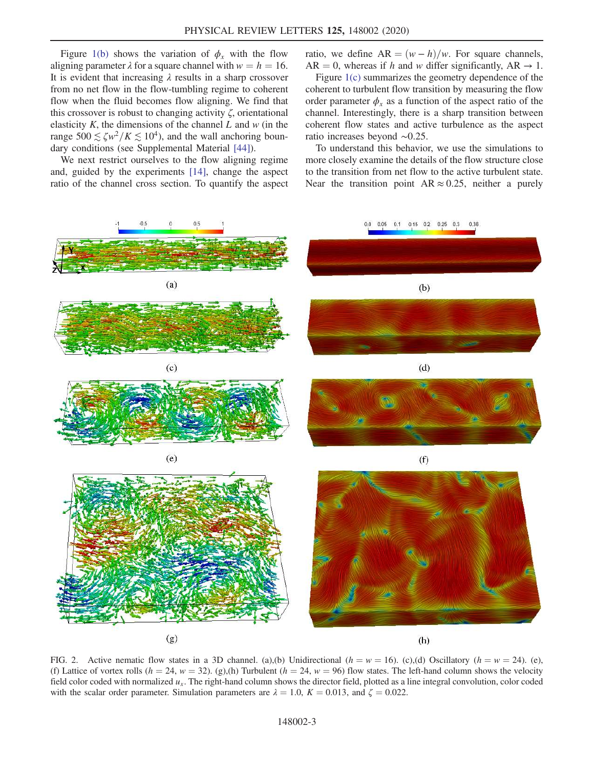Figure 1(b) shows the variation of  $\phi_x$  with the flow aligning parameter  $\lambda$  for a square channel with  $w = h = 16$ . It is evident that increasing  $\lambda$  results in a sharp crossover from no net flow in the flow-tumbling regime to coherent flow when the fluid becomes flow aligning. We find that this crossover is robust to changing activity  $\zeta$ , orientational elasticity  $K$ , the dimensions of the channel  $L$  and  $w$  (in the range  $500 \lesssim \zeta w^2/K \lesssim 10^4$ ), and the wall anchoring boundary conditions (see Supplemental Material [44]).

We next restrict ourselves to the flow aligning regime and, guided by the experiments [14], change the aspect ratio of the channel cross section. To quantify the aspect ratio, we define  $AR = (w - h)/w$ . For square channels, AR = 0, whereas if h and w differ significantly, AR  $\rightarrow$  1.

Figure 1(c) summarizes the geometry dependence of the coherent to turbulent flow transition by measuring the flow order parameter  $\phi_x$  as a function of the aspect ratio of the channel. Interestingly, there is a sharp transition between coherent flow states and active turbulence as the aspect ratio increases beyond ∼0.25.

To understand this behavior, we use the simulations to more closely examine the details of the flow structure close to the transition from net flow to the active turbulent state. Near the transition point  $AR \approx 0.25$ , neither a purely



FIG. 2. Active nematic flow states in a 3D channel. (a),(b) Unidirectional ( $h = w = 16$ ). (c),(d) Oscillatory ( $h = w = 24$ ). (e), (f) Lattice of vortex rolls ( $h = 24$ ,  $w = 32$ ). (g),(h) Turbulent ( $h = 24$ ,  $w = 96$ ) flow states. The left-hand column shows the velocity field color coded with normalized  $u_x$ . The right-hand column shows the director field, plotted as a line integral convolution, color coded with the scalar order parameter. Simulation parameters are  $\lambda = 1.0$ ,  $K = 0.013$ , and  $\zeta = 0.022$ .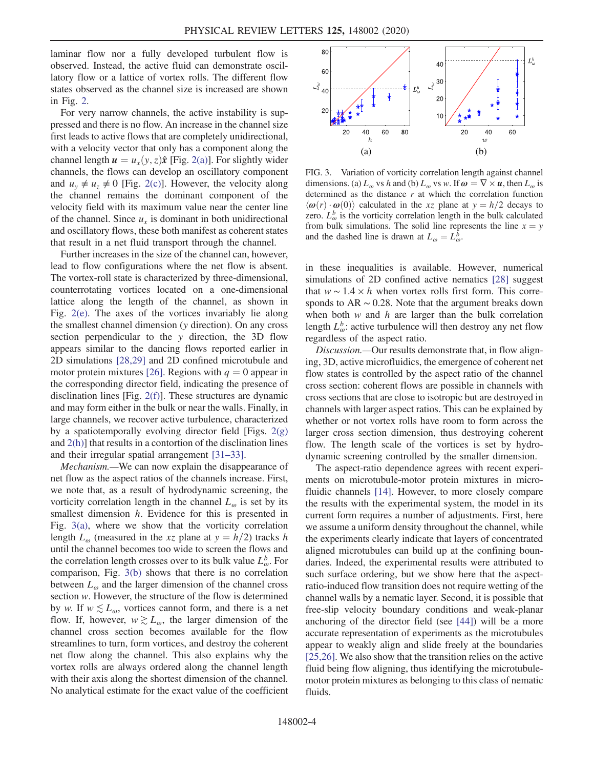laminar flow nor a fully developed turbulent flow is observed. Instead, the active fluid can demonstrate oscillatory flow or a lattice of vortex rolls. The different flow states observed as the channel size is increased are shown in Fig. 2.

For very narrow channels, the active instability is suppressed and there is no flow. An increase in the channel size first leads to active flows that are completely unidirectional, with a velocity vector that only has a component along the channel length  $u = u_x(y, z)\hat{x}$  [Fig. 2(a)]. For slightly wider channels, the flows can develop an oscillatory component and  $u_y \neq u_z \neq 0$  [Fig. 2(c)]. However, the velocity along the channel remains the dominant component of the velocity field with its maximum value near the center line of the channel. Since  $u_x$  is dominant in both unidirectional and oscillatory flows, these both manifest as coherent states that result in a net fluid transport through the channel.

Further increases in the size of the channel can, however, lead to flow configurations where the net flow is absent. The vortex-roll state is characterized by three-dimensional, counterrotating vortices located on a one-dimensional lattice along the length of the channel, as shown in Fig. 2(e). The axes of the vortices invariably lie along the smallest channel dimension (y direction). On any cross section perpendicular to the y direction, the 3D flow appears similar to the dancing flows reported earlier in 2D simulations [28,29] and 2D confined microtubule and motor protein mixtures [26]. Regions with  $q = 0$  appear in the corresponding director field, indicating the presence of disclination lines [Fig. 2(f)]. These structures are dynamic and may form either in the bulk or near the walls. Finally, in large channels, we recover active turbulence, characterized by a spatiotemporally evolving director field [Figs. 2(g) and  $2(h)$ ] that results in a contortion of the disclination lines and their irregular spatial arrangement [31–33].

Mechanism.—We can now explain the disappearance of net flow as the aspect ratios of the channels increase. First, we note that, as a result of hydrodynamic screening, the vorticity correlation length in the channel  $L_{\omega}$  is set by its smallest dimension *h*. Evidence for this is presented in Fig.  $3(a)$ , where we show that the vorticity correlation length  $L_{\omega}$  (measured in the xz plane at  $y = h/2$ ) tracks h until the channel becomes too wide to screen the flows and the correlation length crosses over to its bulk value  $L_{\omega}^{b}$ . For comparison, Fig. 3(b) shows that there is no correlation between  $L_{\omega}$  and the larger dimension of the channel cross section w. However, the structure of the flow is determined by w. If  $w \lesssim L_{\omega}$ , vortices cannot form, and there is a net flow. If, however,  $w \gtrsim L_{\omega}$ , the larger dimension of the channel cross section becomes available for the flow streamlines to turn, form vortices, and destroy the coherent net flow along the channel. This also explains why the vortex rolls are always ordered along the channel length with their axis along the shortest dimension of the channel. No analytical estimate for the exact value of the coefficient



FIG. 3. Variation of vorticity correlation length against channel dimensions. (a)  $L_{\omega}$  vs h and (b)  $L_{\omega}$  vs w. If  $\omega = \nabla \times u$ , then  $L_{\omega}$  is determined as the distance  $r$  at which the correlation function  $\langle \omega(r) \cdot \omega(0) \rangle$  calculated in the xz plane at  $y = h/2$  decays to zero.  $L_{\omega}^{b}$  is the vorticity correlation length in the bulk calculated from bulk simulations. The solid line represents the line  $x = y$ and the dashed line is drawn at  $L_{\omega} = L_{\omega}^{b}$ .

in these inequalities is available. However, numerical simulations of 2D confined active nematics [28] suggest that  $w \sim 1.4 \times h$  when vortex rolls first form. This corresponds to  $AR \sim 0.28$ . Note that the argument breaks down when both  $w$  and  $h$  are larger than the bulk correlation length  $L_{\omega}^{b}$ : active turbulence will then destroy any net flow regardless of the aspect ratio.

Discussion.—Our results demonstrate that, in flow aligning, 3D, active microfluidics, the emergence of coherent net flow states is controlled by the aspect ratio of the channel cross section: coherent flows are possible in channels with cross sections that are close to isotropic but are destroyed in channels with larger aspect ratios. This can be explained by whether or not vortex rolls have room to form across the larger cross section dimension, thus destroying coherent flow. The length scale of the vortices is set by hydrodynamic screening controlled by the smaller dimension.

The aspect-ratio dependence agrees with recent experiments on microtubule-motor protein mixtures in microfluidic channels [14]. However, to more closely compare the results with the experimental system, the model in its current form requires a number of adjustments. First, here we assume a uniform density throughout the channel, while the experiments clearly indicate that layers of concentrated aligned microtubules can build up at the confining boundaries. Indeed, the experimental results were attributed to such surface ordering, but we show here that the aspectratio-induced flow transition does not require wetting of the channel walls by a nematic layer. Second, it is possible that free-slip velocity boundary conditions and weak-planar anchoring of the director field (see [44]) will be a more accurate representation of experiments as the microtubules appear to weakly align and slide freely at the boundaries [25,26]. We also show that the transition relies on the active fluid being flow aligning, thus identifying the microtubulemotor protein mixtures as belonging to this class of nematic fluids.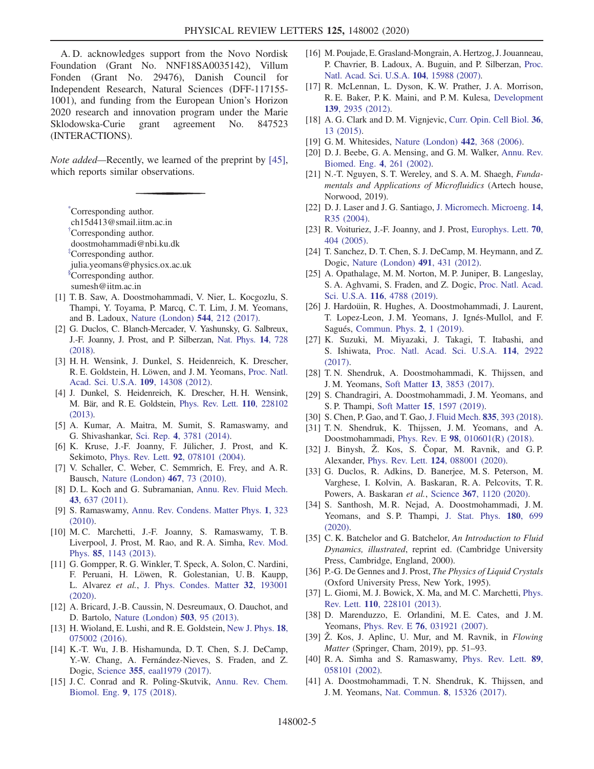A. D. acknowledges support from the Novo Nordisk Foundation (Grant No. NNF18SA0035142), Villum Fonden (Grant No. 29476), Danish Council for Independent Research, Natural Sciences (DFF-117155- 1001), and funding from the European Union's Horizon 2020 research and innovation program under the Marie Sklodowska-Curie grant agreement No. 847523 (INTERACTIONS).

Note added—Recently, we learned of the preprint by [45], which reports similar observations.

\*Corresponding author. ch15d413@smail.iitm.ac.in †Corresponding author. doostmohammadi@nbi.ku.dk ‡Corresponding author. julia.yeomans@physics.ox.ac.uk §Corresponding author. sumesh@iitm.ac.in

- [1] T. B. Saw, A. Doostmohammadi, V. Nier, L. Kocgozlu, S. Thampi, Y. Toyama, P. Marcq, C. T. Lim, J. M. Yeomans, and B. Ladoux, Nature (London) 544, 212 (2017).
- [2] G. Duclos, C. Blanch-Mercader, V. Yashunsky, G. Salbreux, J.-F. Joanny, J. Prost, and P. Silberzan, Nat. Phys. 14, 728 (2018).
- [3] H. H. Wensink, J. Dunkel, S. Heidenreich, K. Drescher, R. E. Goldstein, H. Löwen, and J. M. Yeomans, Proc. Natl. Acad. Sci. U.S.A. 109, 14308 (2012).
- [4] J. Dunkel, S. Heidenreich, K. Drescher, H. H. Wensink, M. Bär, and R. E. Goldstein, Phys. Rev. Lett. 110, 228102 (2013).
- [5] A. Kumar, A. Maitra, M. Sumit, S. Ramaswamy, and G. Shivashankar, Sci. Rep. 4, 3781 (2014).
- [6] K. Kruse, J.-F. Joanny, F. Jülicher, J. Prost, and K. Sekimoto, Phys. Rev. Lett. 92, 078101 (2004).
- [7] V. Schaller, C. Weber, C. Semmrich, E. Frey, and A. R. Bausch, Nature (London) 467, 73 (2010).
- [8] D. L. Koch and G. Subramanian, Annu. Rev. Fluid Mech. 43, 637 (2011).
- [9] S. Ramaswamy, Annu. Rev. Condens. Matter Phys. 1, 323 (2010).
- [10] M. C. Marchetti, J.-F. Joanny, S. Ramaswamy, T. B. Liverpool, J. Prost, M. Rao, and R. A. Simha, Rev. Mod. Phys. 85, 1143 (2013).
- [11] G. Gompper, R. G. Winkler, T. Speck, A. Solon, C. Nardini, F. Peruani, H. Löwen, R. Golestanian, U. B. Kaupp, L. Alvarez et al., J. Phys. Condes. Matter 32, 193001 (2020).
- [12] A. Bricard, J.-B. Caussin, N. Desreumaux, O. Dauchot, and D. Bartolo, Nature (London) 503, 95 (2013).
- [13] H. Wioland, E. Lushi, and R. E. Goldstein, New J. Phys. 18, 075002 (2016).
- [14] K.-T. Wu, J. B. Hishamunda, D. T. Chen, S. J. DeCamp, Y.-W. Chang, A. Fernández-Nieves, S. Fraden, and Z. Dogic, Science 355, eaal1979 (2017).
- [15] J.C. Conrad and R. Poling-Skutvik, Annu. Rev. Chem. Biomol. Eng. 9, 175 (2018).
- [16] M. Poujade, E. Grasland-Mongrain, A. Hertzog, J. Jouanneau, P. Chavrier, B. Ladoux, A. Buguin, and P. Silberzan, Proc. Natl. Acad. Sci. U.S.A. 104, 15988 (2007).
- [17] R. McLennan, L. Dyson, K. W. Prather, J. A. Morrison, R. E. Baker, P. K. Maini, and P. M. Kulesa, Development 139, 2935 (2012).
- [18] A. G. Clark and D. M. Vignjevic, Curr. Opin. Cell Biol. 36, 13 (2015).
- [19] G. M. Whitesides, Nature (London) **442**, 368 (2006).
- [20] D. J. Beebe, G. A. Mensing, and G. M. Walker, Annu. Rev. Biomed. Eng. 4, 261 (2002).
- [21] N.-T. Nguyen, S. T. Wereley, and S. A. M. Shaegh, Fundamentals and Applications of Microfluidics (Artech house, Norwood, 2019).
- [22] D. J. Laser and J. G. Santiago, J. Micromech. Microeng. 14, R35 (2004).
- [23] R. Voituriez, J.-F. Joanny, and J. Prost, Europhys. Lett. **70**, 404 (2005).
- [24] T. Sanchez, D. T. Chen, S. J. DeCamp, M. Heymann, and Z. Dogic, Nature (London) 491, 431 (2012).
- [25] A. Opathalage, M. M. Norton, M. P. Juniper, B. Langeslay, S. A. Aghvami, S. Fraden, and Z. Dogic, Proc. Natl. Acad. Sci. U.S.A. 116, 4788 (2019).
- [26] J. Hardoüin, R. Hughes, A. Doostmohammadi, J. Laurent, T. Lopez-Leon, J. M. Yeomans, J. Ignés-Mullol, and F. Sagués, Commun. Phys. 2, 1 (2019).
- [27] K. Suzuki, M. Miyazaki, J. Takagi, T. Itabashi, and S. Ishiwata, Proc. Natl. Acad. Sci. U.S.A. 114, 2922 (2017).
- [28] T. N. Shendruk, A. Doostmohammadi, K. Thijssen, and J. M. Yeomans, Soft Matter 13, 3853 (2017).
- [29] S. Chandragiri, A. Doostmohammadi, J. M. Yeomans, and S. P. Thampi, Soft Matter 15, 1597 (2019).
- [30] S. Chen, P. Gao, and T. Gao, J. Fluid Mech. 835, 393 (2018).
- [31] T. N. Shendruk, K. Thijssen, J. M. Yeomans, and A. Doostmohammadi, Phys. Rev. E 98, 010601(R) (2018).
- [32] J. Binysh, Ž. Kos, S. Čopar, M. Ravnik, and G. P. Alexander, Phys. Rev. Lett. 124, 088001 (2020).
- [33] G. Duclos, R. Adkins, D. Banerjee, M. S. Peterson, M. Varghese, I. Kolvin, A. Baskaran, R. A. Pelcovits, T. R. Powers, A. Baskaran et al., Science 367, 1120 (2020).
- [34] S. Santhosh, M. R. Nejad, A. Doostmohammadi, J. M. Yeomans, and S.P. Thampi, J. Stat. Phys. 180, 699 (2020).
- [35] C. K. Batchelor and G. Batchelor, An Introduction to Fluid Dynamics, illustrated, reprint ed. (Cambridge University Press, Cambridge, England, 2000).
- [36] P.-G. De Gennes and J. Prost, The Physics of Liquid Crystals (Oxford University Press, New York, 1995).
- [37] L. Giomi, M. J. Bowick, X. Ma, and M. C. Marchetti, Phys. Rev. Lett. 110, 228101 (2013).
- [38] D. Marenduzzo, E. Orlandini, M.E. Cates, and J.M. Yeomans, Phys. Rev. E 76, 031921 (2007).
- [39] Ž. Kos, J. Aplinc, U. Mur, and M. Ravnik, in Flowing Matter (Springer, Cham, 2019), pp. 51–93.
- [40] R.A. Simha and S. Ramaswamy, Phys. Rev. Lett. 89, 058101 (2002).
- [41] A. Doostmohammadi, T. N. Shendruk, K. Thijssen, and J. M. Yeomans, Nat. Commun. 8, 15326 (2017).